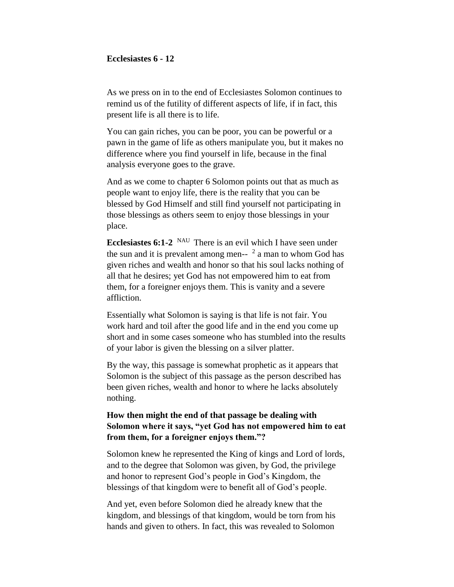#### **Ecclesiastes 6 - 12**

As we press on in to the end of Ecclesiastes Solomon continues to remind us of the futility of different aspects of life, if in fact, this present life is all there is to life.

You can gain riches, you can be poor, you can be powerful or a pawn in the game of life as others manipulate you, but it makes no difference where you find yourself in life, because in the final analysis everyone goes to the grave.

And as we come to chapter 6 Solomon points out that as much as people want to enjoy life, there is the reality that you can be blessed by God Himself and still find yourself not participating in those blessings as others seem to enjoy those blessings in your place.

**Ecclesiastes 6:1-2** NAU There is an evil which I have seen under the sun and it is prevalent among men-- $\lambda^2$  a man to whom God has given riches and wealth and honor so that his soul lacks nothing of all that he desires; yet God has not empowered him to eat from them, for a foreigner enjoys them. This is vanity and a severe affliction.

Essentially what Solomon is saying is that life is not fair. You work hard and toil after the good life and in the end you come up short and in some cases someone who has stumbled into the results of your labor is given the blessing on a silver platter.

By the way, this passage is somewhat prophetic as it appears that Solomon is the subject of this passage as the person described has been given riches, wealth and honor to where he lacks absolutely nothing.

# **How then might the end of that passage be dealing with Solomon where it says, "yet God has not empowered him to eat from them, for a foreigner enjoys them."?**

Solomon knew he represented the King of kings and Lord of lords, and to the degree that Solomon was given, by God, the privilege and honor to represent God's people in God's Kingdom, the blessings of that kingdom were to benefit all of God's people.

And yet, even before Solomon died he already knew that the kingdom, and blessings of that kingdom, would be torn from his hands and given to others. In fact, this was revealed to Solomon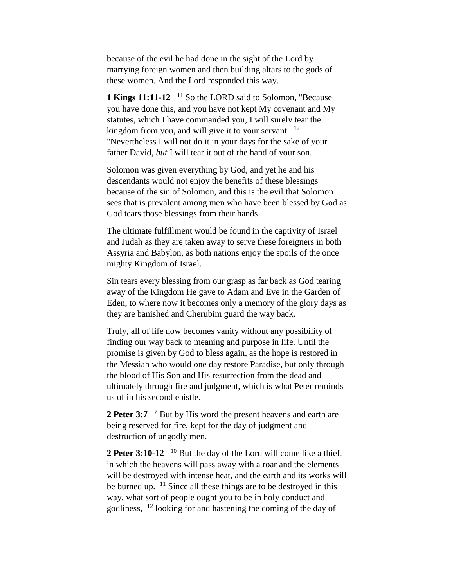because of the evil he had done in the sight of the Lord by marrying foreign women and then building altars to the gods of these women. And the Lord responded this way.

1 **Kings 11:11-12** <sup>11</sup> So the LORD said to Solomon, "Because you have done this, and you have not kept My covenant and My statutes, which I have commanded you, I will surely tear the kingdom from you, and will give it to your servant. <sup>12</sup> "Nevertheless I will not do it in your days for the sake of your father David, *but* I will tear it out of the hand of your son.

Solomon was given everything by God, and yet he and his descendants would not enjoy the benefits of these blessings because of the sin of Solomon, and this is the evil that Solomon sees that is prevalent among men who have been blessed by God as God tears those blessings from their hands.

The ultimate fulfillment would be found in the captivity of Israel and Judah as they are taken away to serve these foreigners in both Assyria and Babylon, as both nations enjoy the spoils of the once mighty Kingdom of Israel.

Sin tears every blessing from our grasp as far back as God tearing away of the Kingdom He gave to Adam and Eve in the Garden of Eden, to where now it becomes only a memory of the glory days as they are banished and Cherubim guard the way back.

Truly, all of life now becomes vanity without any possibility of finding our way back to meaning and purpose in life. Until the promise is given by God to bless again, as the hope is restored in the Messiah who would one day restore Paradise, but only through the blood of His Son and His resurrection from the dead and ultimately through fire and judgment, which is what Peter reminds us of in his second epistle.

2 Peter 3:7 <sup>7</sup> But by His word the present heavens and earth are being reserved for fire, kept for the day of judgment and destruction of ungodly men.

**2 Peter 3:10-12** <sup>10</sup> But the day of the Lord will come like a thief, in which the heavens will pass away with a roar and the elements will be destroyed with intense heat, and the earth and its works will be burned up.  $11$  Since all these things are to be destroyed in this way, what sort of people ought you to be in holy conduct and godliness, <sup>12</sup> looking for and hastening the coming of the day of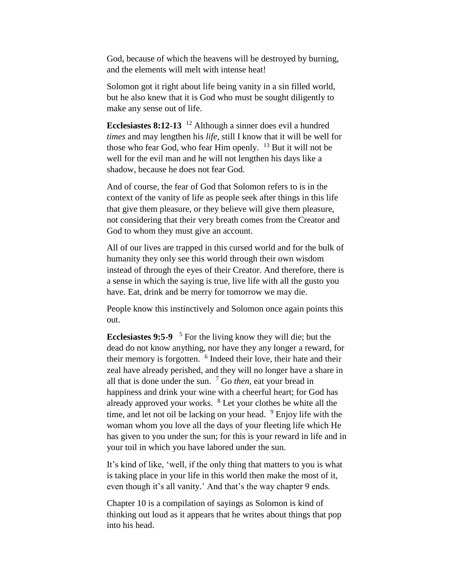God, because of which the heavens will be destroyed by burning, and the elements will melt with intense heat!

Solomon got it right about life being vanity in a sin filled world, but he also knew that it is God who must be sought diligently to make any sense out of life.

**Ecclesiastes 8:12-13** <sup>12</sup> Although a sinner does evil a hundred *times* and may lengthen his *life*, still I know that it will be well for those who fear God, who fear Him openly.  $13$  But it will not be well for the evil man and he will not lengthen his days like a shadow, because he does not fear God.

And of course, the fear of God that Solomon refers to is in the context of the vanity of life as people seek after things in this life that give them pleasure, or they believe will give them pleasure, not considering that their very breath comes from the Creator and God to whom they must give an account.

All of our lives are trapped in this cursed world and for the bulk of humanity they only see this world through their own wisdom instead of through the eyes of their Creator. And therefore, there is a sense in which the saying is true, live life with all the gusto you have. Eat, drink and be merry for tomorrow we may die.

People know this instinctively and Solomon once again points this out.

**Ecclesiastes 9:5-9**  <sup>5</sup> For the living know they will die; but the dead do not know anything, nor have they any longer a reward, for their memory is forgotten. <sup>6</sup> Indeed their love, their hate and their zeal have already perished, and they will no longer have a share in all that is done under the sun.  $\frac{7}{1}$  Go *then*, eat your bread in happiness and drink your wine with a cheerful heart; for God has already approved your works. <sup>8</sup> Let your clothes be white all the time, and let not oil be lacking on your head.  $9$  Enjoy life with the woman whom you love all the days of your fleeting life which He has given to you under the sun; for this is your reward in life and in your toil in which you have labored under the sun.

It's kind of like, 'well, if the only thing that matters to you is what is taking place in your life in this world then make the most of it, even though it's all vanity.' And that's the way chapter 9 ends.

Chapter 10 is a compilation of sayings as Solomon is kind of thinking out loud as it appears that he writes about things that pop into his head.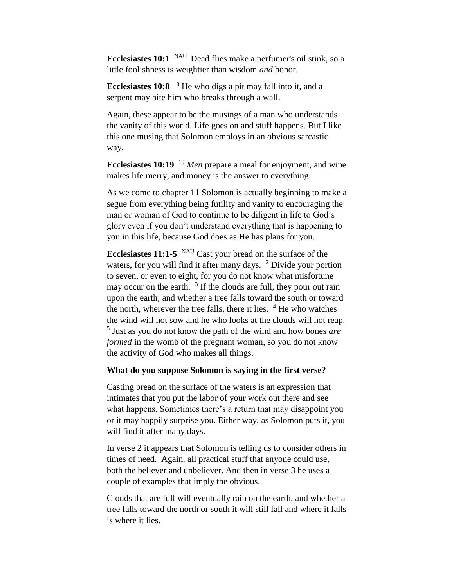**Ecclesiastes 10:1** NAU Dead flies make a perfumer's oil stink, so a little foolishness is weightier than wisdom *and* honor.

**Ecclesiastes 10:8** <sup>8</sup> He who digs a pit may fall into it, and a serpent may bite him who breaks through a wall.

Again, these appear to be the musings of a man who understands the vanity of this world. Life goes on and stuff happens. But I like this one musing that Solomon employs in an obvious sarcastic way.

**Ecclesiastes 10:19** <sup>19</sup> *Men* prepare a meal for enjoyment, and wine makes life merry, and money is the answer to everything.

As we come to chapter 11 Solomon is actually beginning to make a segue from everything being futility and vanity to encouraging the man or woman of God to continue to be diligent in life to God's glory even if you don't understand everything that is happening to you in this life, because God does as He has plans for you.

**Ecclesiastes 11:1-5** <sup>NAU</sup> Cast your bread on the surface of the waters, for you will find it after many days. <sup>2</sup> Divide your portion to seven, or even to eight, for you do not know what misfortune may occur on the earth.  $3$  If the clouds are full, they pour out rain upon the earth; and whether a tree falls toward the south or toward the north, wherever the tree falls, there it lies.  $4$  He who watches the wind will not sow and he who looks at the clouds will not reap. 5 Just as you do not know the path of the wind and how bones *are formed* in the womb of the pregnant woman, so you do not know the activity of God who makes all things.

#### **What do you suppose Solomon is saying in the first verse?**

Casting bread on the surface of the waters is an expression that intimates that you put the labor of your work out there and see what happens. Sometimes there's a return that may disappoint you or it may happily surprise you. Either way, as Solomon puts it, you will find it after many days.

In verse 2 it appears that Solomon is telling us to consider others in times of need. Again, all practical stuff that anyone could use, both the believer and unbeliever. And then in verse 3 he uses a couple of examples that imply the obvious.

Clouds that are full will eventually rain on the earth, and whether a tree falls toward the north or south it will still fall and where it falls is where it lies.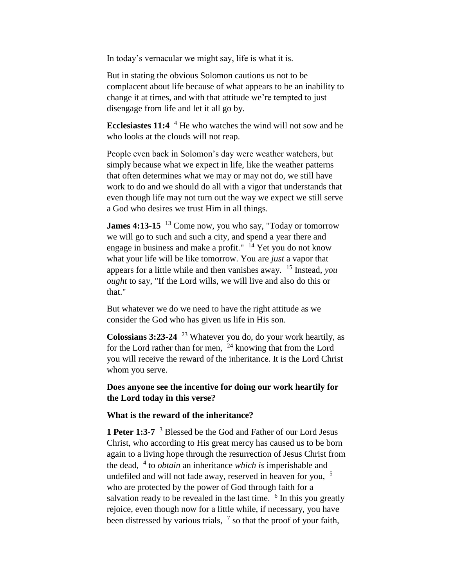In today's vernacular we might say, life is what it is.

But in stating the obvious Solomon cautions us not to be complacent about life because of what appears to be an inability to change it at times, and with that attitude we're tempted to just disengage from life and let it all go by.

**Ecclesiastes 11:4** <sup>4</sup> He who watches the wind will not sow and he who looks at the clouds will not reap.

People even back in Solomon's day were weather watchers, but simply because what we expect in life, like the weather patterns that often determines what we may or may not do, we still have work to do and we should do all with a vigor that understands that even though life may not turn out the way we expect we still serve a God who desires we trust Him in all things.

**James 4:13-15** <sup>13</sup> Come now, you who say, "Today or tomorrow" we will go to such and such a city, and spend a year there and engage in business and make a profit."  $14$  Yet you do not know what your life will be like tomorrow. You are *just* a vapor that appears for a little while and then vanishes away. <sup>15</sup> Instead, *you ought* to say, "If the Lord wills, we will live and also do this or that."

But whatever we do we need to have the right attitude as we consider the God who has given us life in His son.

**Colossians 3:23-24** <sup>23</sup> Whatever you do, do your work heartily, as for the Lord rather than for men,  $^{24}$  knowing that from the Lord you will receive the reward of the inheritance. It is the Lord Christ whom you serve.

**Does anyone see the incentive for doing our work heartily for the Lord today in this verse?**

### **What is the reward of the inheritance?**

**1 Peter 1:3-7** <sup>3</sup> Blessed be the God and Father of our Lord Jesus Christ, who according to His great mercy has caused us to be born again to a living hope through the resurrection of Jesus Christ from the dead, <sup>4</sup> to *obtain* an inheritance *which is* imperishable and undefiled and will not fade away, reserved in heaven for you,  $5$ who are protected by the power of God through faith for a salvation ready to be revealed in the last time. <sup>6</sup> In this you greatly rejoice, even though now for a little while, if necessary, you have been distressed by various trials,  $<sup>7</sup>$  so that the proof of your faith,</sup>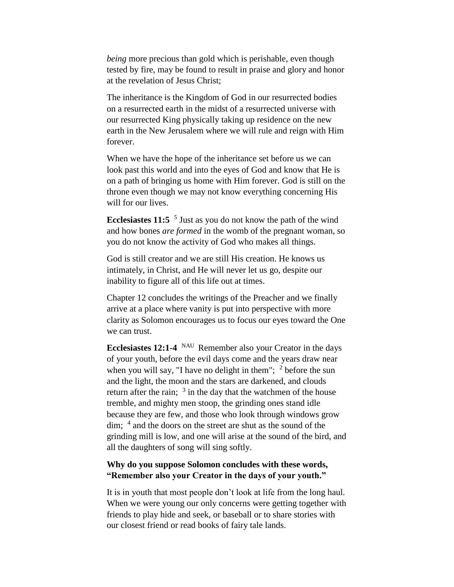*being* more precious than gold which is perishable, even though tested by fire, may be found to result in praise and glory and honor at the revelation of Jesus Christ;

The inheritance is the Kingdom of God in our resurrected bodies on a resurrected earth in the midst of a resurrected universe with our resurrected King physically taking up residence on the new earth in the New Jerusalem where we will rule and reign with Him forever.

When we have the hope of the inheritance set before us we can look past this world and into the eyes of God and know that He is on a path of bringing us home with Him forever. God is still on the throne even though we may not know everything concerning His will for our lives.

**Ecclesiastes 11:5** <sup>5</sup> Just as you do not know the path of the wind and how bones *are formed* in the womb of the pregnant woman, so you do not know the activity of God who makes all things.

God is still creator and we are still His creation. He knows us intimately, in Christ, and He will never let us go, despite our inability to figure all of this life out at times.

Chapter 12 concludes the writings of the Preacher and we finally arrive at a place where vanity is put into perspective with more clarity as Solomon encourages us to focus our eyes toward the One we can trust.

**Ecclesiastes 12:1-4** NAU Remember also your Creator in the days of your youth, before the evil days come and the years draw near when you will say, "I have no delight in them";  $<sup>2</sup>$  before the sun</sup> and the light, the moon and the stars are darkened, and clouds return after the rain;  $3 \text{ in the day that the watchmen of the house}$ tremble, and mighty men stoop, the grinding ones stand idle because they are few, and those who look through windows grow dim; <sup>4</sup> and the doors on the street are shut as the sound of the grinding mill is low, and one will arise at the sound of the bird, and all the daughters of song will sing softly.

## **Why do you suppose Solomon concludes with these words, "Remember also your Creator in the days of your youth."**

It is in youth that most people don't look at life from the long haul. When we were young our only concerns were getting together with friends to play hide and seek, or baseball or to share stories with our closest friend or read books of fairy tale lands.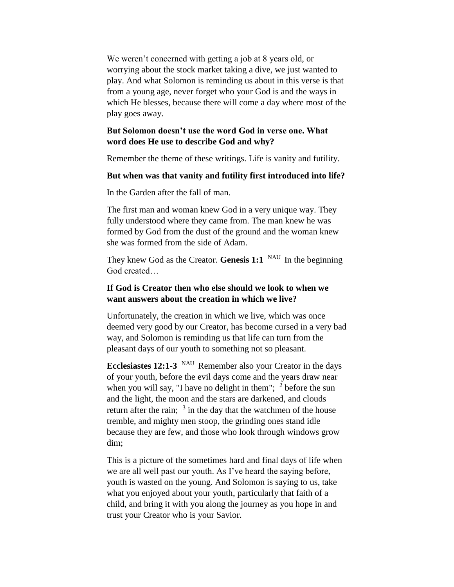We weren't concerned with getting a job at 8 years old, or worrying about the stock market taking a dive, we just wanted to play. And what Solomon is reminding us about in this verse is that from a young age, never forget who your God is and the ways in which He blesses, because there will come a day where most of the play goes away.

## **But Solomon doesn't use the word God in verse one. What word does He use to describe God and why?**

Remember the theme of these writings. Life is vanity and futility.

#### **But when was that vanity and futility first introduced into life?**

In the Garden after the fall of man.

The first man and woman knew God in a very unique way. They fully understood where they came from. The man knew he was formed by God from the dust of the ground and the woman knew she was formed from the side of Adam.

They knew God as the Creator. **Genesis 1:1** NAU In the beginning God created…

## **If God is Creator then who else should we look to when we want answers about the creation in which we live?**

Unfortunately, the creation in which we live, which was once deemed very good by our Creator, has become cursed in a very bad way, and Solomon is reminding us that life can turn from the pleasant days of our youth to something not so pleasant.

Ecclesiastes 12:1-3 <sup>NAU</sup> Remember also your Creator in the days of your youth, before the evil days come and the years draw near when you will say, "I have no delight in them";  $<sup>2</sup>$  before the sun</sup> and the light, the moon and the stars are darkened, and clouds return after the rain;  $3 \text{ in the day that the watchmen of the house}$ tremble, and mighty men stoop, the grinding ones stand idle because they are few, and those who look through windows grow dim;

This is a picture of the sometimes hard and final days of life when we are all well past our youth. As I've heard the saying before, youth is wasted on the young. And Solomon is saying to us, take what you enjoyed about your youth, particularly that faith of a child, and bring it with you along the journey as you hope in and trust your Creator who is your Savior.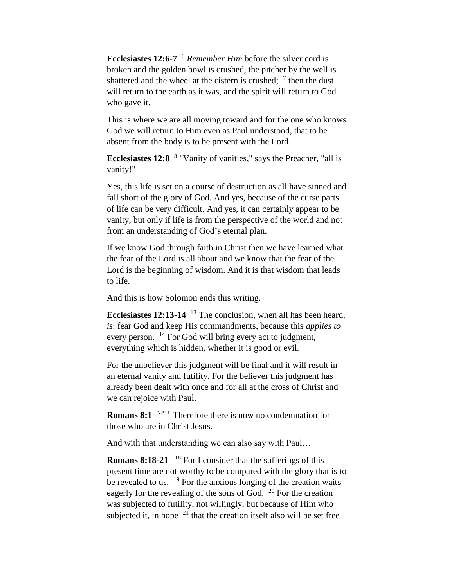**Ecclesiastes 12:6-7** <sup>6</sup> *Remember Him* before the silver cord is broken and the golden bowl is crushed, the pitcher by the well is shattered and the wheel at the cistern is crushed;  $\frac{7}{1}$  then the dust will return to the earth as it was, and the spirit will return to God who gave it.

This is where we are all moving toward and for the one who knows God we will return to Him even as Paul understood, that to be absent from the body is to be present with the Lord.

Ecclesiastes 12:8 <sup>8</sup> "Vanity of vanities," says the Preacher, "all is vanity!"

Yes, this life is set on a course of destruction as all have sinned and fall short of the glory of God. And yes, because of the curse parts of life can be very difficult. And yes, it can certainly appear to be vanity, but only if life is from the perspective of the world and not from an understanding of God's eternal plan.

If we know God through faith in Christ then we have learned what the fear of the Lord is all about and we know that the fear of the Lord is the beginning of wisdom. And it is that wisdom that leads to life.

And this is how Solomon ends this writing.

**Ecclesiastes 12:13-14** <sup>13</sup> The conclusion, when all has been heard, *is*: fear God and keep His commandments, because this *applies to*  every person. <sup>14</sup> For God will bring every act to judgment, everything which is hidden, whether it is good or evil.

For the unbeliever this judgment will be final and it will result in an eternal vanity and futility. For the believer this judgment has already been dealt with once and for all at the cross of Christ and we can rejoice with Paul.

**Romans 8:1** NAU Therefore there is now no condemnation for those who are in Christ Jesus.

And with that understanding we can also say with Paul…

**Romans 8:18-21** <sup>18</sup> For I consider that the sufferings of this present time are not worthy to be compared with the glory that is to be revealed to us.  $19$  For the anxious longing of the creation waits eagerly for the revealing of the sons of God. <sup>20</sup> For the creation was subjected to futility, not willingly, but because of Him who subjected it, in hope  $21$  that the creation itself also will be set free